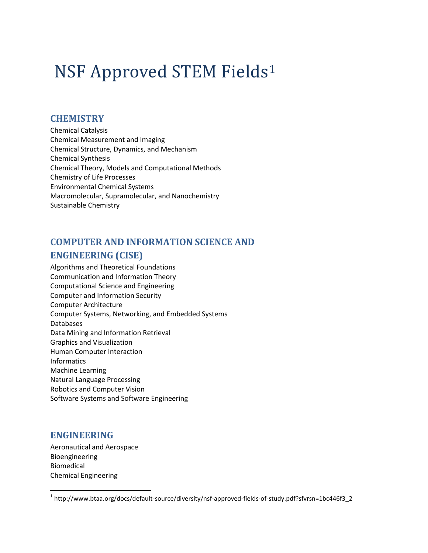# NSF Approved STEM Fields<sup>1</sup>

#### **CHEMISTRY**

Chemical Catalysis Chemical Measurement and Imaging Chemical Structure, Dynamics, and Mechanism Chemical Synthesis Chemical Theory, Models and Computational Methods Chemistry of Life Processes Environmental Chemical Systems Macromolecular, Supramolecular, and Nanochemistry Sustainable Chemistry

## **COMPUTER AND INFORMATION SCIENCE AND ENGINEERING (CISE)**

Algorithms and Theoretical Foundations Communication and Information Theory Computational Science and Engineering Computer and Information Security Computer Architecture Computer Systems, Networking, and Embedded Systems Databases Data Mining and Information Retrieval Graphics and Visualization Human Computer Interaction Informatics Machine Learning Natural Language Processing Robotics and Computer Vision Software Systems and Software Engineering

#### **ENGINEERING**

 $\overline{\phantom{a}}$ 

Aeronautical and Aerospace Bioengineering Biomedical Chemical Engineering

<sup>1</sup> http://www.btaa.org/docs/default-source/diversity/nsf-approved-fields-of-study.pdf?sfvrsn=1bc446f3\_2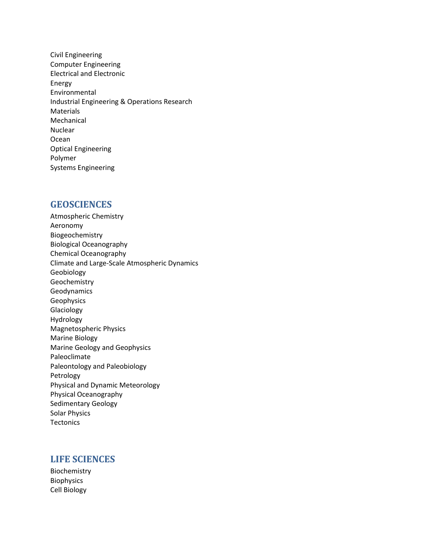Civil Engineering Computer Engineering Electrical and Electronic Energy Environmental Industrial Engineering & Operations Research Materials Mechanical Nuclear Ocean Optical Engineering Polymer Systems Engineering

#### **GEOSCIENCES**

Atmospheric Chemistry Aeronomy Biogeochemistry Biological Oceanography Chemical Oceanography Climate and Large-Scale Atmospheric Dynamics Geobiology Geochemistry Geodynamics Geophysics Glaciology Hydrology Magnetospheric Physics Marine Biology Marine Geology and Geophysics Paleoclimate Paleontology and Paleobiology Petrology Physical and Dynamic Meteorology Physical Oceanography Sedimentary Geology Solar Physics **Tectonics** 

#### **LIFE SCIENCES**

Biochemistry Biophysics Cell Biology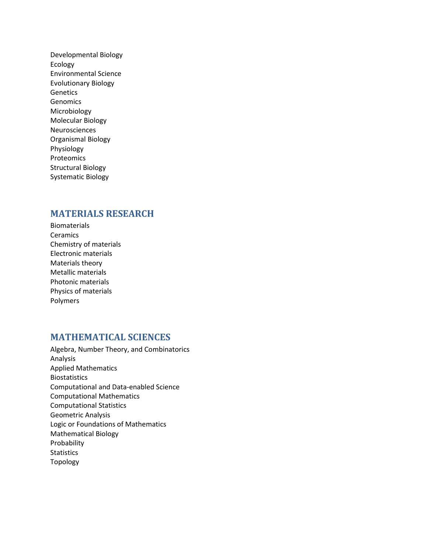Developmental Biology Ecology Environmental Science Evolutionary Biology Genetics Genomics Microbiology Molecular Biology Neurosciences Organismal Biology Physiology Proteomics Structural Biology Systematic Biology

#### **MATERIALS RESEARCH**

Biomaterials **Ceramics** Chemistry of materials Electronic materials Materials theory Metallic materials Photonic materials Physics of materials Polymers

#### **MATHEMATICAL SCIENCES**

Algebra, Number Theory, and Combinatorics Analysis Applied Mathematics Biostatistics Computational and Data-enabled Science Computational Mathematics Computational Statistics Geometric Analysis Logic or Foundations of Mathematics Mathematical Biology Probability Statistics Topology